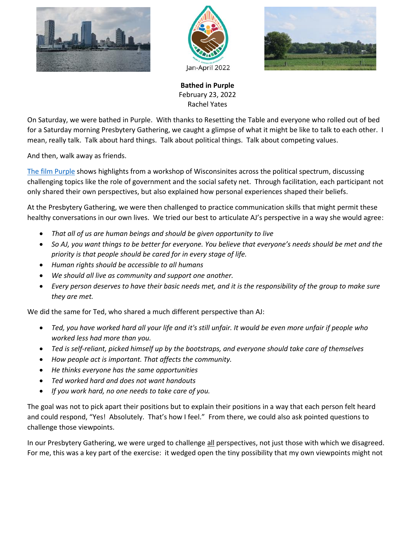





**Bathed in Purple** February 23, 2022 Rachel Yates

On Saturday, we were bathed in Purple. With thanks to Resetting the Table and everyone who rolled out of bed for a Saturday morning Presbytery Gathering, we caught a glimpse of what it might be like to talk to each other. I mean, really talk. Talk about hard things. Talk about political things. Talk about competing values.

And then, walk away as friends.

[The film Purple](https://www.youtube.com/watch?v=TH9t7ud7Jgk) shows highlights from a workshop of Wisconsinites across the political spectrum, discussing challenging topics like the role of government and the social safety net. Through facilitation, each participant not only shared their own perspectives, but also explained how personal experiences shaped their beliefs.

At the Presbytery Gathering, we were then challenged to practice communication skills that might permit these healthy conversations in our own lives. We tried our best to articulate AJ's perspective in a way she would agree:

- *That all of us are human beings and should be given opportunity to live*
- *So AJ, you want things to be better for everyone. You believe that everyone's needs should be met and the priority is that people should be cared for in every stage of life.*
- *Human rights should be accessible to all humans*
- *We should all live as community and support one another.*
- *Every person deserves to have their basic needs met, and it is the responsibility of the group to make sure they are met.*

We did the same for Ted, who shared a much different perspective than AJ:

- *Ted, you have worked hard all your life and it's still unfair. It would be even more unfair if people who worked less had more than you.*
- *Ted is self-reliant, picked himself up by the bootstraps, and everyone should take care of themselves*
- *How people act is important. That affects the community.*
- *He thinks everyone has the same opportunities*
- *Ted worked hard and does not want handouts*
- *If you work hard, no one needs to take care of you.*

The goal was not to pick apart their positions but to explain their positions in a way that each person felt heard and could respond, "Yes! Absolutely. That's how I feel." From there, we could also ask pointed questions to challenge those viewpoints.

In our Presbytery Gathering, we were urged to challenge all perspectives, not just those with which we disagreed. For me, this was a key part of the exercise: it wedged open the tiny possibility that my own viewpoints might not